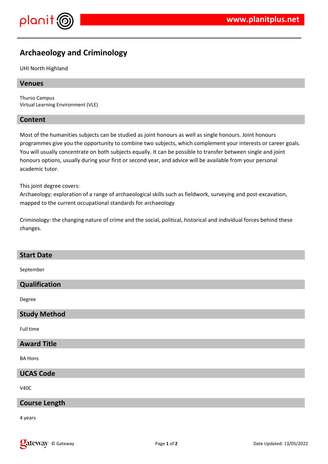

# **Archaeology and Criminology**

# UHI North Highland

# **Venues**

Thurso Campus Virtual Learning Environment (VLE)

# **Content**

Most of the humanities subjects can be studied as joint honours as well as single honours. Joint honours programmes give you the opportunity to combine two subjects, which complement your interests or career goals. You will usually concentrate on both subjects equally. It can be possible to transfer between single and joint honours options, usually during your first or second year, and advice will be available from your personal academic tutor.

This joint degree covers:

Archaeology: exploration of a range of archaeological skills such as fieldwork, surveying and post-excavation, mapped to the current occupational standards for archaeology

Criminology: the changing nature of crime and the social, political, historical and individual forces behind these changes.

# **Start Date**

September

# **Qualification**

Degree

# **Study Method**

Full time

# **Award Title**

BA Hons

# **UCAS Code**

V40C

# **Course Length**

4 years